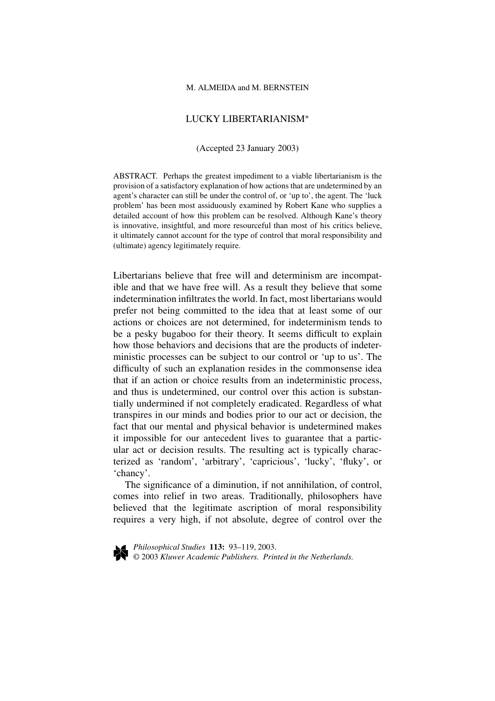### M. ALMEIDA and M. BERNSTEIN

## LUCKY LIBERTARIANISM∗

(Accepted 23 January 2003)

ABSTRACT. Perhaps the greatest impediment to a viable libertarianism is the provision of a satisfactory explanation of how actions that are undetermined by an agent's character can still be under the control of, or 'up to', the agent. The 'luck problem' has been most assiduously examined by Robert Kane who supplies a detailed account of how this problem can be resolved. Although Kane's theory is innovative, insightful, and more resourceful than most of his critics believe, it ultimately cannot account for the type of control that moral responsibility and (ultimate) agency legitimately require.

Libertarians believe that free will and determinism are incompatible and that we have free will. As a result they believe that some indetermination infiltrates the world. In fact, most libertarians would prefer not being committed to the idea that at least some of our actions or choices are not determined, for indeterminism tends to be a pesky bugaboo for their theory. It seems difficult to explain how those behaviors and decisions that are the products of indeterministic processes can be subject to our control or 'up to us'. The difficulty of such an explanation resides in the commonsense idea that if an action or choice results from an indeterministic process, and thus is undetermined, our control over this action is substantially undermined if not completely eradicated. Regardless of what transpires in our minds and bodies prior to our act or decision, the fact that our mental and physical behavior is undetermined makes it impossible for our antecedent lives to guarantee that a particular act or decision results. The resulting act is typically characterized as 'random', 'arbitrary', 'capricious', 'lucky', 'fluky', or 'chancy'.

The significance of a diminution, if not annihilation, of control, comes into relief in two areas. Traditionally, philosophers have believed that the legitimate ascription of moral responsibility requires a very high, if not absolute, degree of control over the

*Philosophical Studies* **113:** 93–119, 2003. © 2003 *Kluwer Academic Publishers. Printed in the Netherlands.*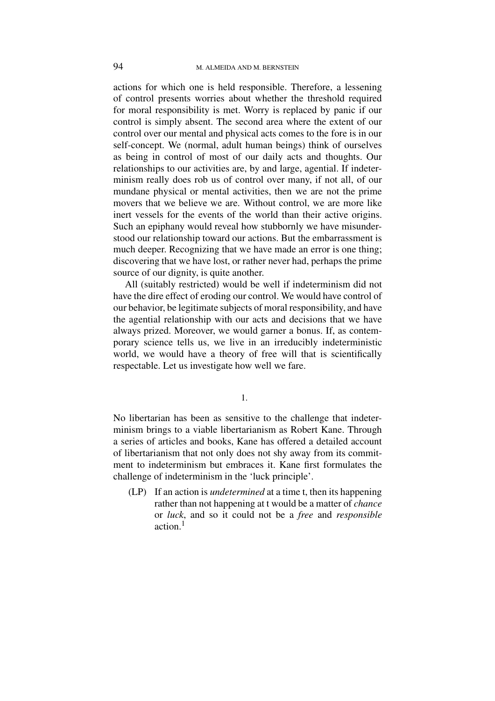actions for which one is held responsible. Therefore, a lessening of control presents worries about whether the threshold required for moral responsibility is met. Worry is replaced by panic if our control is simply absent. The second area where the extent of our control over our mental and physical acts comes to the fore is in our self-concept. We (normal, adult human beings) think of ourselves as being in control of most of our daily acts and thoughts. Our relationships to our activities are, by and large, agential. If indeterminism really does rob us of control over many, if not all, of our mundane physical or mental activities, then we are not the prime movers that we believe we are. Without control, we are more like inert vessels for the events of the world than their active origins. Such an epiphany would reveal how stubbornly we have misunderstood our relationship toward our actions. But the embarrassment is much deeper. Recognizing that we have made an error is one thing; discovering that we have lost, or rather never had, perhaps the prime source of our dignity, is quite another.

All (suitably restricted) would be well if indeterminism did not have the dire effect of eroding our control. We would have control of our behavior, be legitimate subjects of moral responsibility, and have the agential relationship with our acts and decisions that we have always prized. Moreover, we would garner a bonus. If, as contemporary science tells us, we live in an irreducibly indeterministic world, we would have a theory of free will that is scientifically respectable. Let us investigate how well we fare.

1.

No libertarian has been as sensitive to the challenge that indeterminism brings to a viable libertarianism as Robert Kane. Through a series of articles and books, Kane has offered a detailed account of libertarianism that not only does not shy away from its commitment to indeterminism but embraces it. Kane first formulates the challenge of indeterminism in the 'luck principle'.

(LP) If an action is *undetermined* at a time t, then its happening rather than not happening at t would be a matter of *chance* or *luck*, and so it could not be a *free* and *responsible* action $1$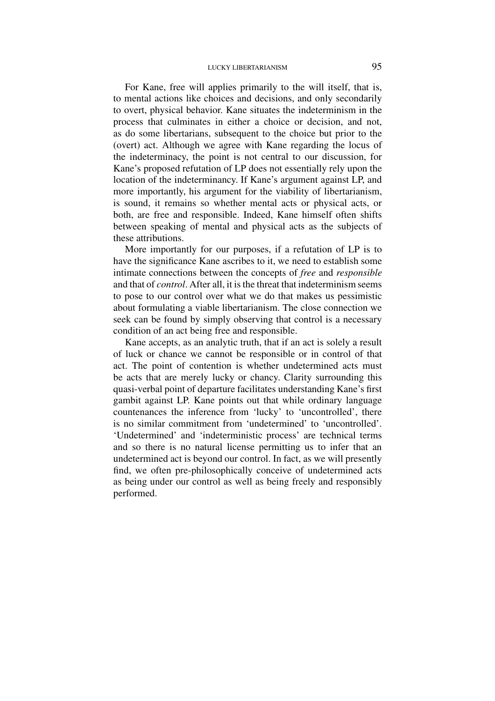For Kane, free will applies primarily to the will itself, that is, to mental actions like choices and decisions, and only secondarily to overt, physical behavior. Kane situates the indeterminism in the process that culminates in either a choice or decision, and not, as do some libertarians, subsequent to the choice but prior to the (overt) act. Although we agree with Kane regarding the locus of the indeterminacy, the point is not central to our discussion, for Kane's proposed refutation of LP does not essentially rely upon the location of the indeterminancy. If Kane's argument against LP, and more importantly, his argument for the viability of libertarianism, is sound, it remains so whether mental acts or physical acts, or both, are free and responsible. Indeed, Kane himself often shifts between speaking of mental and physical acts as the subjects of these attributions.

More importantly for our purposes, if a refutation of LP is to have the significance Kane ascribes to it, we need to establish some intimate connections between the concepts of *free* and *responsible* and that of *control*. After all, it is the threat that indeterminism seems to pose to our control over what we do that makes us pessimistic about formulating a viable libertarianism. The close connection we seek can be found by simply observing that control is a necessary condition of an act being free and responsible.

Kane accepts, as an analytic truth, that if an act is solely a result of luck or chance we cannot be responsible or in control of that act. The point of contention is whether undetermined acts must be acts that are merely lucky or chancy. Clarity surrounding this quasi-verbal point of departure facilitates understanding Kane's first gambit against LP. Kane points out that while ordinary language countenances the inference from 'lucky' to 'uncontrolled', there is no similar commitment from 'undetermined' to 'uncontrolled'. 'Undetermined' and 'indeterministic process' are technical terms and so there is no natural license permitting us to infer that an undetermined act is beyond our control. In fact, as we will presently find, we often pre-philosophically conceive of undetermined acts as being under our control as well as being freely and responsibly performed.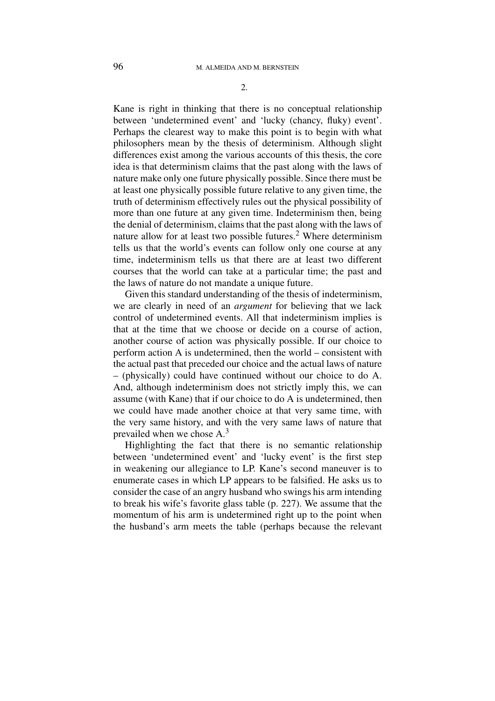2.

Kane is right in thinking that there is no conceptual relationship between 'undetermined event' and 'lucky (chancy, fluky) event'. Perhaps the clearest way to make this point is to begin with what philosophers mean by the thesis of determinism. Although slight differences exist among the various accounts of this thesis, the core idea is that determinism claims that the past along with the laws of nature make only one future physically possible. Since there must be at least one physically possible future relative to any given time, the truth of determinism effectively rules out the physical possibility of more than one future at any given time. Indeterminism then, being the denial of determinism, claims that the past along with the laws of nature allow for at least two possible futures.<sup>2</sup> Where determinism tells us that the world's events can follow only one course at any time, indeterminism tells us that there are at least two different courses that the world can take at a particular time; the past and the laws of nature do not mandate a unique future.

Given this standard understanding of the thesis of indeterminism, we are clearly in need of an *argument* for believing that we lack control of undetermined events. All that indeterminism implies is that at the time that we choose or decide on a course of action, another course of action was physically possible. If our choice to perform action A is undetermined, then the world – consistent with the actual past that preceded our choice and the actual laws of nature – (physically) could have continued without our choice to do A. And, although indeterminism does not strictly imply this, we can assume (with Kane) that if our choice to do A is undetermined, then we could have made another choice at that very same time, with the very same history, and with the very same laws of nature that prevailed when we chose A.<sup>3</sup>

Highlighting the fact that there is no semantic relationship between 'undetermined event' and 'lucky event' is the first step in weakening our allegiance to LP. Kane's second maneuver is to enumerate cases in which LP appears to be falsified. He asks us to consider the case of an angry husband who swings his arm intending to break his wife's favorite glass table (p. 227). We assume that the momentum of his arm is undetermined right up to the point when the husband's arm meets the table (perhaps because the relevant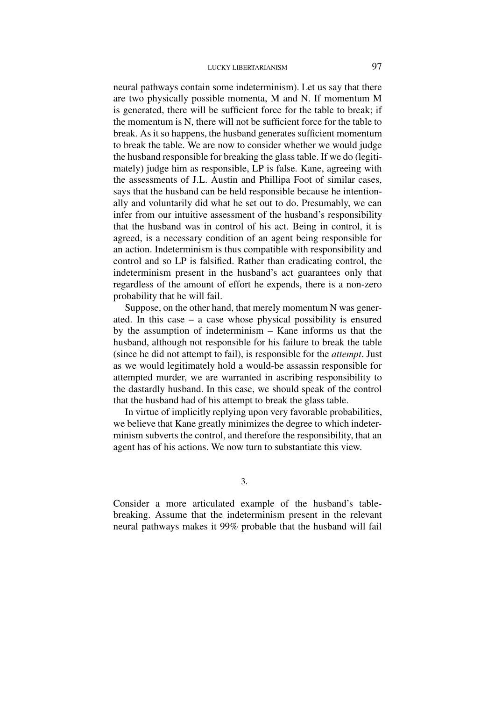neural pathways contain some indeterminism). Let us say that there are two physically possible momenta, M and N. If momentum M is generated, there will be sufficient force for the table to break; if the momentum is N, there will not be sufficient force for the table to break. As it so happens, the husband generates sufficient momentum to break the table. We are now to consider whether we would judge the husband responsible for breaking the glass table. If we do (legitimately) judge him as responsible, LP is false. Kane, agreeing with the assessments of J.L. Austin and Phillipa Foot of similar cases, says that the husband can be held responsible because he intentionally and voluntarily did what he set out to do. Presumably, we can infer from our intuitive assessment of the husband's responsibility that the husband was in control of his act. Being in control, it is agreed, is a necessary condition of an agent being responsible for an action. Indeterminism is thus compatible with responsibility and control and so LP is falsified. Rather than eradicating control, the indeterminism present in the husband's act guarantees only that regardless of the amount of effort he expends, there is a non-zero probability that he will fail.

Suppose, on the other hand, that merely momentum N was generated. In this case – a case whose physical possibility is ensured by the assumption of indeterminism – Kane informs us that the husband, although not responsible for his failure to break the table (since he did not attempt to fail), is responsible for the *attempt*. Just as we would legitimately hold a would-be assassin responsible for attempted murder, we are warranted in ascribing responsibility to the dastardly husband. In this case, we should speak of the control that the husband had of his attempt to break the glass table.

In virtue of implicitly replying upon very favorable probabilities, we believe that Kane greatly minimizes the degree to which indeterminism subverts the control, and therefore the responsibility, that an agent has of his actions. We now turn to substantiate this view.

3.

Consider a more articulated example of the husband's tablebreaking. Assume that the indeterminism present in the relevant neural pathways makes it 99% probable that the husband will fail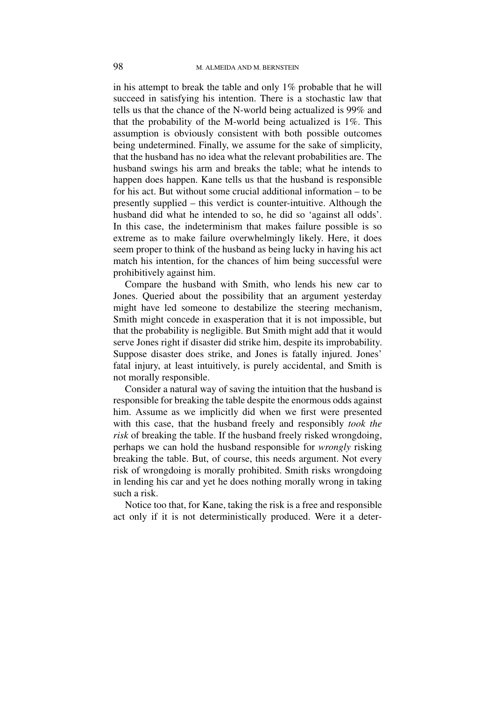in his attempt to break the table and only 1% probable that he will succeed in satisfying his intention. There is a stochastic law that tells us that the chance of the N-world being actualized is 99% and that the probability of the M-world being actualized is 1%. This assumption is obviously consistent with both possible outcomes being undetermined. Finally, we assume for the sake of simplicity, that the husband has no idea what the relevant probabilities are. The husband swings his arm and breaks the table; what he intends to happen does happen. Kane tells us that the husband is responsible for his act. But without some crucial additional information – to be presently supplied – this verdict is counter-intuitive. Although the husband did what he intended to so, he did so 'against all odds'. In this case, the indeterminism that makes failure possible is so extreme as to make failure overwhelmingly likely. Here, it does seem proper to think of the husband as being lucky in having his act match his intention, for the chances of him being successful were prohibitively against him.

Compare the husband with Smith, who lends his new car to Jones. Queried about the possibility that an argument yesterday might have led someone to destabilize the steering mechanism, Smith might concede in exasperation that it is not impossible, but that the probability is negligible. But Smith might add that it would serve Jones right if disaster did strike him, despite its improbability. Suppose disaster does strike, and Jones is fatally injured. Jones' fatal injury, at least intuitively, is purely accidental, and Smith is not morally responsible.

Consider a natural way of saving the intuition that the husband is responsible for breaking the table despite the enormous odds against him. Assume as we implicitly did when we first were presented with this case, that the husband freely and responsibly *took the risk* of breaking the table. If the husband freely risked wrongdoing, perhaps we can hold the husband responsible for *wrongly* risking breaking the table. But, of course, this needs argument. Not every risk of wrongdoing is morally prohibited. Smith risks wrongdoing in lending his car and yet he does nothing morally wrong in taking such a risk.

Notice too that, for Kane, taking the risk is a free and responsible act only if it is not deterministically produced. Were it a deter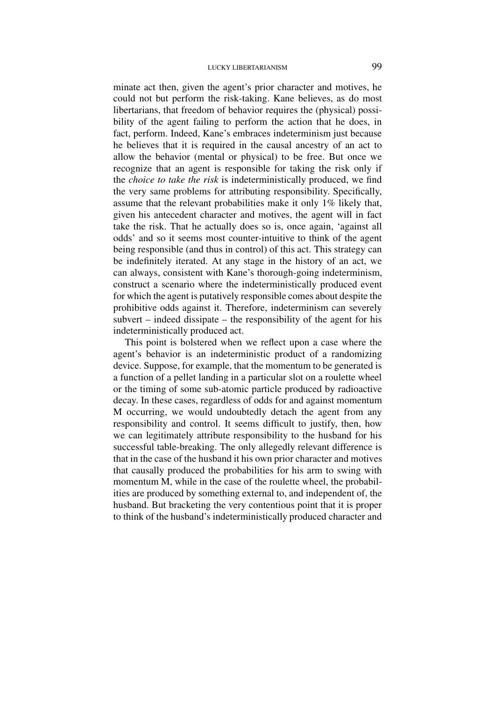minate act then, given the agent's prior character and motives, he could not but perform the risk-taking. Kane believes, as do most libertarians, that freedom of behavior requires the (physical) possibility of the agent failing to perform the action that he does, in fact, perform. Indeed, Kane's embraces indeterminism just because he believes that it is required in the causal ancestry of an act to allow the behavior (mental or physical) to be free. But once we recognize that an agent is responsible for taking the risk only if the *choice to take the risk* is indeterministically produced, we find the very same problems for attributing responsibility. Specifically, assume that the relevant probabilities make it only 1% likely that, given his antecedent character and motives, the agent will in fact take the risk. That he actually does so is, once again, 'against all odds' and so it seems most counter-intuitive to think of the agent being responsible (and thus in control) of this act. This strategy can be indefinitely iterated. At any stage in the history of an act, we can always, consistent with Kane's thorough-going indeterminism, construct a scenario where the indeterministically produced event for which the agent is putatively responsible comes about despite the prohibitive odds against it. Therefore, indeterminism can severely subvert – indeed dissipate – the responsibility of the agent for his indeterministically produced act.

This point is bolstered when we reflect upon a case where the agent's behavior is an indeterministic product of a randomizing device. Suppose, for example, that the momentum to be generated is a function of a pellet landing in a particular slot on a roulette wheel or the timing of some sub-atomic particle produced by radioactive decay. In these cases, regardless of odds for and against momentum M occurring, we would undoubtedly detach the agent from any responsibility and control. It seems difficult to justify, then, how we can legitimately attribute responsibility to the husband for his successful table-breaking. The only allegedly relevant difference is that in the case of the husband it his own prior character and motives that causally produced the probabilities for his arm to swing with momentum M, while in the case of the roulette wheel, the probabilities are produced by something external to, and independent of, the husband. But bracketing the very contentious point that it is proper to think of the husband's indeterministically produced character and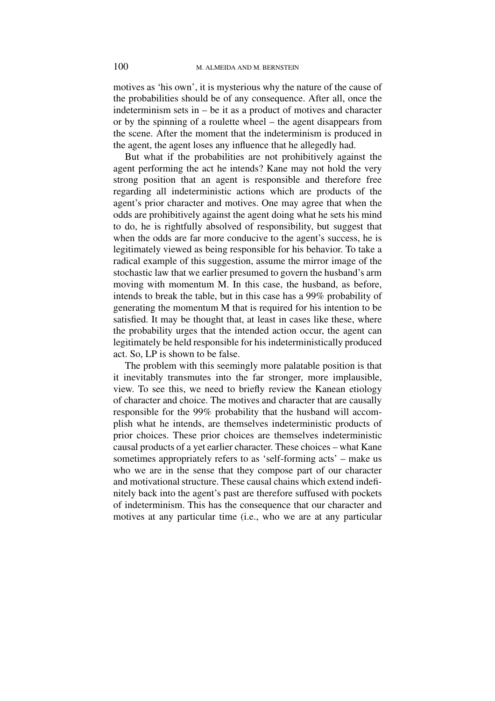motives as 'his own', it is mysterious why the nature of the cause of the probabilities should be of any consequence. After all, once the indeterminism sets in – be it as a product of motives and character or by the spinning of a roulette wheel – the agent disappears from the scene. After the moment that the indeterminism is produced in the agent, the agent loses any influence that he allegedly had.

But what if the probabilities are not prohibitively against the agent performing the act he intends? Kane may not hold the very strong position that an agent is responsible and therefore free regarding all indeterministic actions which are products of the agent's prior character and motives. One may agree that when the odds are prohibitively against the agent doing what he sets his mind to do, he is rightfully absolved of responsibility, but suggest that when the odds are far more conducive to the agent's success, he is legitimately viewed as being responsible for his behavior. To take a radical example of this suggestion, assume the mirror image of the stochastic law that we earlier presumed to govern the husband's arm moving with momentum M. In this case, the husband, as before, intends to break the table, but in this case has a 99% probability of generating the momentum M that is required for his intention to be satisfied. It may be thought that, at least in cases like these, where the probability urges that the intended action occur, the agent can legitimately be held responsible for his indeterministically produced act. So, LP is shown to be false.

The problem with this seemingly more palatable position is that it inevitably transmutes into the far stronger, more implausible, view. To see this, we need to briefly review the Kanean etiology of character and choice. The motives and character that are causally responsible for the 99% probability that the husband will accomplish what he intends, are themselves indeterministic products of prior choices. These prior choices are themselves indeterministic causal products of a yet earlier character. These choices – what Kane sometimes appropriately refers to as 'self-forming acts' – make us who we are in the sense that they compose part of our character and motivational structure. These causal chains which extend indefinitely back into the agent's past are therefore suffused with pockets of indeterminism. This has the consequence that our character and motives at any particular time (i.e., who we are at any particular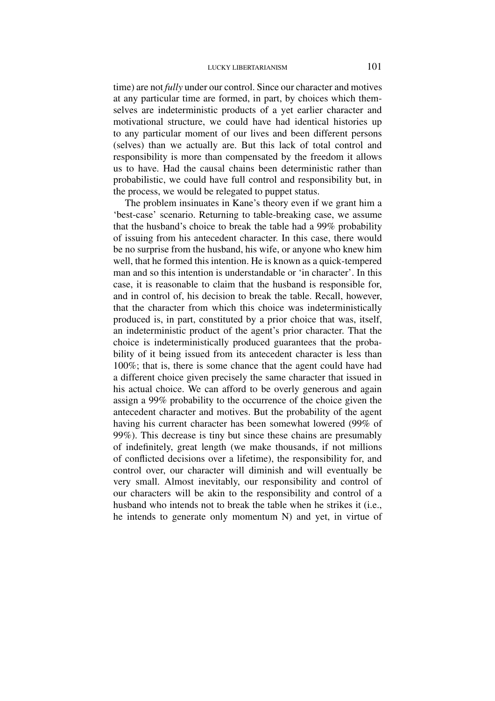time) are not *fully* under our control. Since our character and motives at any particular time are formed, in part, by choices which themselves are indeterministic products of a yet earlier character and motivational structure, we could have had identical histories up to any particular moment of our lives and been different persons (selves) than we actually are. But this lack of total control and responsibility is more than compensated by the freedom it allows us to have. Had the causal chains been deterministic rather than probabilistic, we could have full control and responsibility but, in the process, we would be relegated to puppet status.

The problem insinuates in Kane's theory even if we grant him a 'best-case' scenario. Returning to table-breaking case, we assume that the husband's choice to break the table had a 99% probability of issuing from his antecedent character. In this case, there would be no surprise from the husband, his wife, or anyone who knew him well, that he formed this intention. He is known as a quick-tempered man and so this intention is understandable or 'in character'. In this case, it is reasonable to claim that the husband is responsible for, and in control of, his decision to break the table. Recall, however, that the character from which this choice was indeterministically produced is, in part, constituted by a prior choice that was, itself, an indeterministic product of the agent's prior character. That the choice is indeterministically produced guarantees that the probability of it being issued from its antecedent character is less than 100%; that is, there is some chance that the agent could have had a different choice given precisely the same character that issued in his actual choice. We can afford to be overly generous and again assign a 99% probability to the occurrence of the choice given the antecedent character and motives. But the probability of the agent having his current character has been somewhat lowered (99% of 99%). This decrease is tiny but since these chains are presumably of indefinitely, great length (we make thousands, if not millions of conflicted decisions over a lifetime), the responsibility for, and control over, our character will diminish and will eventually be very small. Almost inevitably, our responsibility and control of our characters will be akin to the responsibility and control of a husband who intends not to break the table when he strikes it (i.e., he intends to generate only momentum N) and yet, in virtue of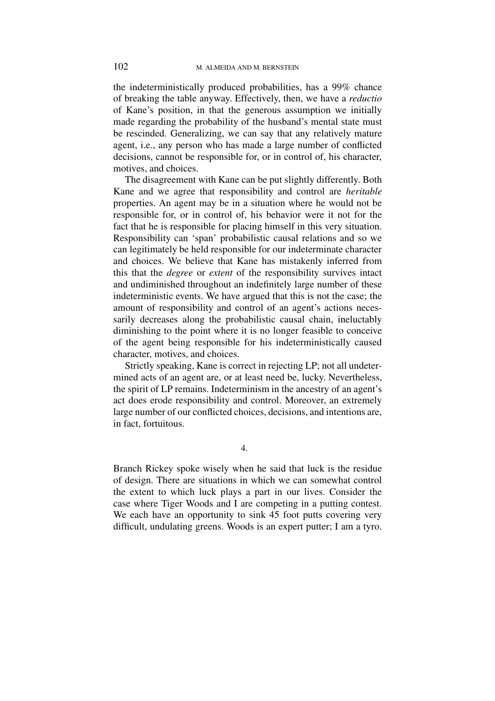the indeterministically produced probabilities, has a 99% chance of breaking the table anyway. Effectively, then, we have a *reductio* of Kane's position, in that the generous assumption we initially made regarding the probability of the husband's mental state must be rescinded. Generalizing, we can say that any relatively mature agent, i.e., any person who has made a large number of conflicted decisions, cannot be responsible for, or in control of, his character, motives, and choices.

The disagreement with Kane can be put slightly differently. Both Kane and we agree that responsibility and control are *heritable* properties. An agent may be in a situation where he would not be responsible for, or in control of, his behavior were it not for the fact that he is responsible for placing himself in this very situation. Responsibility can 'span' probabilistic causal relations and so we can legitimately be held responsible for our indeterminate character and choices. We believe that Kane has mistakenly inferred from this that the *degree* or *extent* of the responsibility survives intact and undiminished throughout an indefinitely large number of these indeterministic events. We have argued that this is not the case; the amount of responsibility and control of an agent's actions necessarily decreases along the probabilistic causal chain, ineluctably diminishing to the point where it is no longer feasible to conceive of the agent being responsible for his indeterministically caused character, motives, and choices.

Strictly speaking, Kane is correct in rejecting LP; not all undetermined acts of an agent are, or at least need be, lucky. Nevertheless, the spirit of LP remains. Indeterminism in the ancestry of an agent's act does erode responsibility and control. Moreover, an extremely large number of our conflicted choices, decisions, and intentions are, in fact, fortuitous.

Branch Rickey spoke wisely when he said that luck is the residue of design. There are situations in which we can somewhat control the extent to which luck plays a part in our lives. Consider the case where Tiger Woods and I are competing in a putting contest. We each have an opportunity to sink 45 foot putts covering very difficult, undulating greens. Woods is an expert putter; I am a tyro.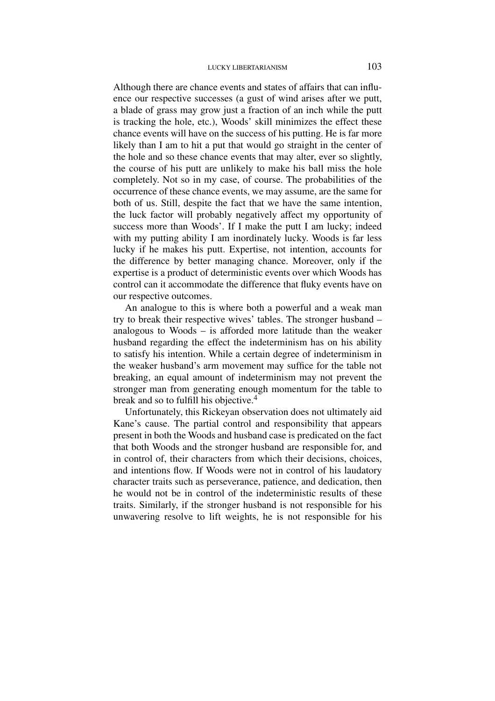Although there are chance events and states of affairs that can influence our respective successes (a gust of wind arises after we putt, a blade of grass may grow just a fraction of an inch while the putt is tracking the hole, etc.), Woods' skill minimizes the effect these chance events will have on the success of his putting. He is far more likely than I am to hit a put that would go straight in the center of the hole and so these chance events that may alter, ever so slightly, the course of his putt are unlikely to make his ball miss the hole completely. Not so in my case, of course. The probabilities of the occurrence of these chance events, we may assume, are the same for both of us. Still, despite the fact that we have the same intention, the luck factor will probably negatively affect my opportunity of success more than Woods'. If I make the putt I am lucky; indeed with my putting ability I am inordinately lucky. Woods is far less lucky if he makes his putt. Expertise, not intention, accounts for the difference by better managing chance. Moreover, only if the expertise is a product of deterministic events over which Woods has control can it accommodate the difference that fluky events have on our respective outcomes.

An analogue to this is where both a powerful and a weak man try to break their respective wives' tables. The stronger husband – analogous to Woods – is afforded more latitude than the weaker husband regarding the effect the indeterminism has on his ability to satisfy his intention. While a certain degree of indeterminism in the weaker husband's arm movement may suffice for the table not breaking, an equal amount of indeterminism may not prevent the stronger man from generating enough momentum for the table to break and so to fulfill his objective.<sup>4</sup>

Unfortunately, this Rickeyan observation does not ultimately aid Kane's cause. The partial control and responsibility that appears present in both the Woods and husband case is predicated on the fact that both Woods and the stronger husband are responsible for, and in control of, their characters from which their decisions, choices, and intentions flow. If Woods were not in control of his laudatory character traits such as perseverance, patience, and dedication, then he would not be in control of the indeterministic results of these traits. Similarly, if the stronger husband is not responsible for his unwavering resolve to lift weights, he is not responsible for his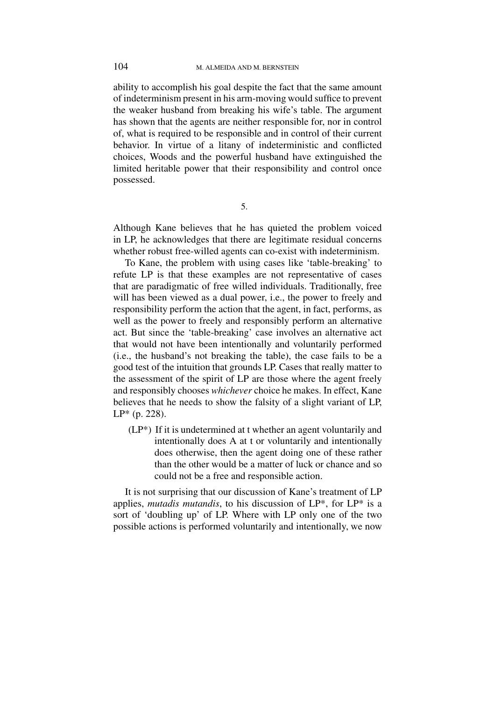ability to accomplish his goal despite the fact that the same amount of indeterminism present in his arm-moving would suffice to prevent the weaker husband from breaking his wife's table. The argument has shown that the agents are neither responsible for, nor in control of, what is required to be responsible and in control of their current behavior. In virtue of a litany of indeterministic and conflicted choices, Woods and the powerful husband have extinguished the limited heritable power that their responsibility and control once possessed.

5.

Although Kane believes that he has quieted the problem voiced in LP, he acknowledges that there are legitimate residual concerns whether robust free-willed agents can co-exist with indeterminism.

To Kane, the problem with using cases like 'table-breaking' to refute LP is that these examples are not representative of cases that are paradigmatic of free willed individuals. Traditionally, free will has been viewed as a dual power, i.e., the power to freely and responsibility perform the action that the agent, in fact, performs, as well as the power to freely and responsibly perform an alternative act. But since the 'table-breaking' case involves an alternative act that would not have been intentionally and voluntarily performed (i.e., the husband's not breaking the table), the case fails to be a good test of the intuition that grounds LP. Cases that really matter to the assessment of the spirit of LP are those where the agent freely and responsibly chooses *whichever* choice he makes. In effect, Kane believes that he needs to show the falsity of a slight variant of LP, LP\* (p. 228).

(LP\*) If it is undetermined at t whether an agent voluntarily and intentionally does A at t or voluntarily and intentionally does otherwise, then the agent doing one of these rather than the other would be a matter of luck or chance and so could not be a free and responsible action.

It is not surprising that our discussion of Kane's treatment of LP applies, *mutadis mutandis*, to his discussion of LP\*, for LP\* is a sort of 'doubling up' of LP. Where with LP only one of the two possible actions is performed voluntarily and intentionally, we now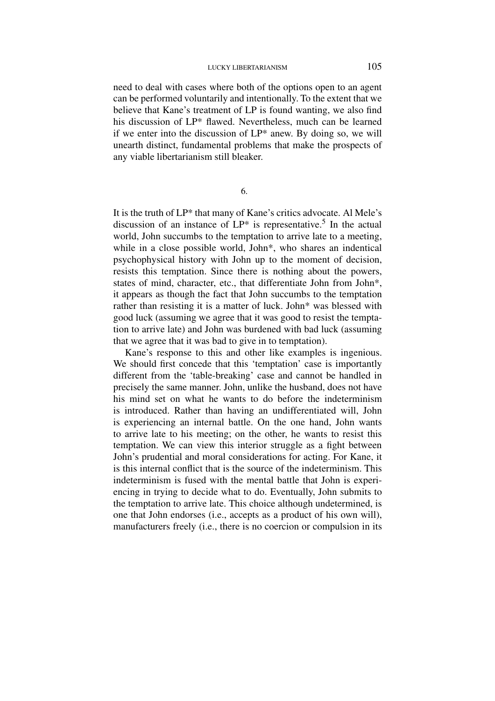need to deal with cases where both of the options open to an agent can be performed voluntarily and intentionally. To the extent that we believe that Kane's treatment of LP is found wanting, we also find his discussion of LP\* flawed. Nevertheless, much can be learned if we enter into the discussion of  $LP^*$  anew. By doing so, we will unearth distinct, fundamental problems that make the prospects of any viable libertarianism still bleaker.

6.

It is the truth of LP\* that many of Kane's critics advocate. Al Mele's discussion of an instance of  $LP^*$  is representative.<sup>5</sup> In the actual world, John succumbs to the temptation to arrive late to a meeting, while in a close possible world, John\*, who shares an indentical psychophysical history with John up to the moment of decision, resists this temptation. Since there is nothing about the powers, states of mind, character, etc., that differentiate John from John\*, it appears as though the fact that John succumbs to the temptation rather than resisting it is a matter of luck. John\* was blessed with good luck (assuming we agree that it was good to resist the temptation to arrive late) and John was burdened with bad luck (assuming that we agree that it was bad to give in to temptation).

Kane's response to this and other like examples is ingenious. We should first concede that this 'temptation' case is importantly different from the 'table-breaking' case and cannot be handled in precisely the same manner. John, unlike the husband, does not have his mind set on what he wants to do before the indeterminism is introduced. Rather than having an undifferentiated will, John is experiencing an internal battle. On the one hand, John wants to arrive late to his meeting; on the other, he wants to resist this temptation. We can view this interior struggle as a fight between John's prudential and moral considerations for acting. For Kane, it is this internal conflict that is the source of the indeterminism. This indeterminism is fused with the mental battle that John is experiencing in trying to decide what to do. Eventually, John submits to the temptation to arrive late. This choice although undetermined, is one that John endorses (i.e., accepts as a product of his own will), manufacturers freely (i.e., there is no coercion or compulsion in its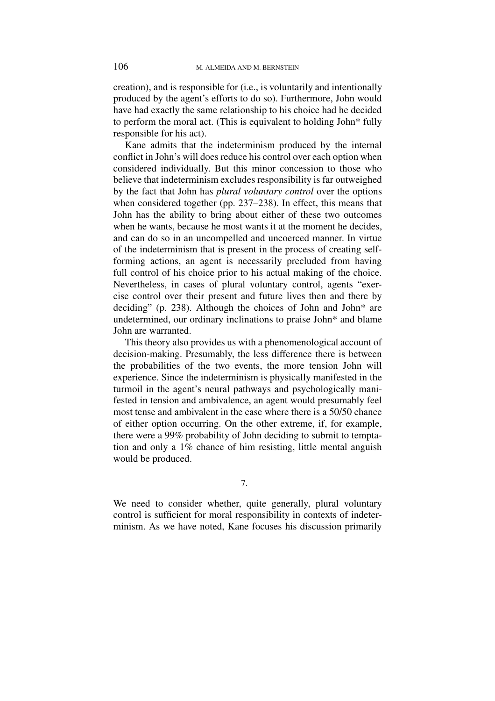creation), and is responsible for (i.e., is voluntarily and intentionally produced by the agent's efforts to do so). Furthermore, John would have had exactly the same relationship to his choice had he decided to perform the moral act. (This is equivalent to holding John\* fully responsible for his act).

Kane admits that the indeterminism produced by the internal conflict in John's will does reduce his control over each option when considered individually. But this minor concession to those who believe that indeterminism excludes responsibility is far outweighed by the fact that John has *plural voluntary control* over the options when considered together (pp. 237–238). In effect, this means that John has the ability to bring about either of these two outcomes when he wants, because he most wants it at the moment he decides, and can do so in an uncompelled and uncoerced manner. In virtue of the indeterminism that is present in the process of creating selfforming actions, an agent is necessarily precluded from having full control of his choice prior to his actual making of the choice. Nevertheless, in cases of plural voluntary control, agents "exercise control over their present and future lives then and there by deciding" (p. 238). Although the choices of John and John\* are undetermined, our ordinary inclinations to praise John\* and blame John are warranted.

This theory also provides us with a phenomenological account of decision-making. Presumably, the less difference there is between the probabilities of the two events, the more tension John will experience. Since the indeterminism is physically manifested in the turmoil in the agent's neural pathways and psychologically manifested in tension and ambivalence, an agent would presumably feel most tense and ambivalent in the case where there is a 50/50 chance of either option occurring. On the other extreme, if, for example, there were a 99% probability of John deciding to submit to temptation and only a 1% chance of him resisting, little mental anguish would be produced.

7.

We need to consider whether, quite generally, plural voluntary control is sufficient for moral responsibility in contexts of indeterminism. As we have noted, Kane focuses his discussion primarily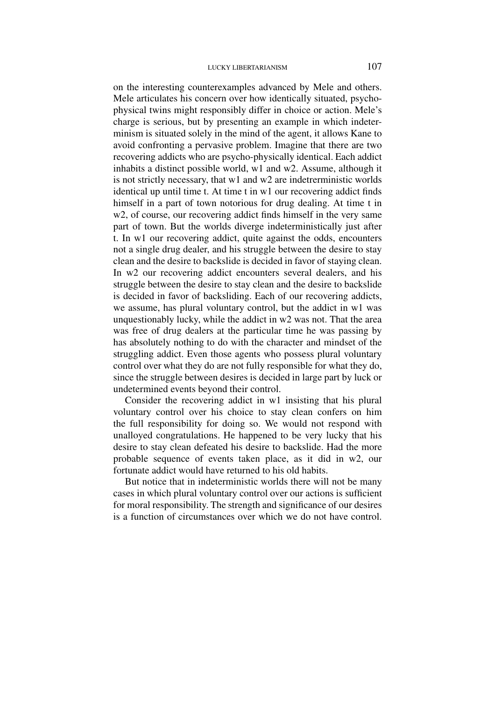on the interesting counterexamples advanced by Mele and others. Mele articulates his concern over how identically situated, psychophysical twins might responsibly differ in choice or action. Mele's charge is serious, but by presenting an example in which indeterminism is situated solely in the mind of the agent, it allows Kane to avoid confronting a pervasive problem. Imagine that there are two recovering addicts who are psycho-physically identical. Each addict inhabits a distinct possible world, w1 and w2. Assume, although it is not strictly necessary, that w1 and w2 are indetrerministic worlds identical up until time t. At time t in w1 our recovering addict finds himself in a part of town notorious for drug dealing. At time t in w2, of course, our recovering addict finds himself in the very same part of town. But the worlds diverge indeterministically just after t. In w1 our recovering addict, quite against the odds, encounters not a single drug dealer, and his struggle between the desire to stay clean and the desire to backslide is decided in favor of staying clean. In w2 our recovering addict encounters several dealers, and his struggle between the desire to stay clean and the desire to backslide is decided in favor of backsliding. Each of our recovering addicts, we assume, has plural voluntary control, but the addict in w1 was unquestionably lucky, while the addict in w2 was not. That the area was free of drug dealers at the particular time he was passing by has absolutely nothing to do with the character and mindset of the struggling addict. Even those agents who possess plural voluntary control over what they do are not fully responsible for what they do, since the struggle between desires is decided in large part by luck or undetermined events beyond their control.

Consider the recovering addict in w1 insisting that his plural voluntary control over his choice to stay clean confers on him the full responsibility for doing so. We would not respond with unalloyed congratulations. He happened to be very lucky that his desire to stay clean defeated his desire to backslide. Had the more probable sequence of events taken place, as it did in w2, our fortunate addict would have returned to his old habits.

But notice that in indeterministic worlds there will not be many cases in which plural voluntary control over our actions is sufficient for moral responsibility. The strength and significance of our desires is a function of circumstances over which we do not have control.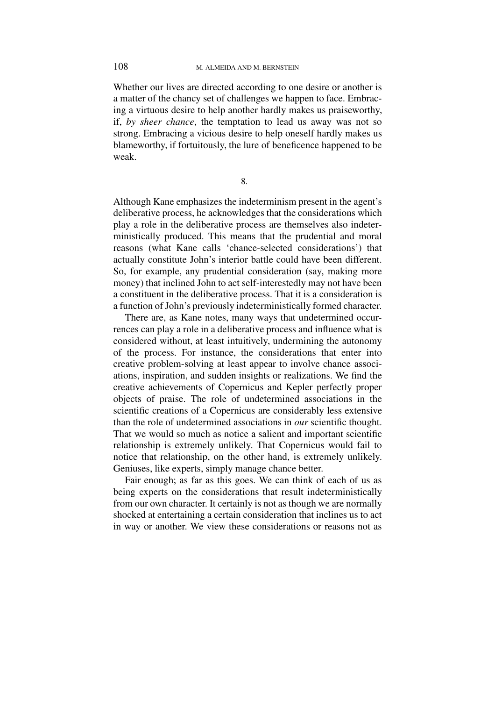# 108 M. ALMEIDA AND M. BERNSTEIN

Whether our lives are directed according to one desire or another is a matter of the chancy set of challenges we happen to face. Embracing a virtuous desire to help another hardly makes us praiseworthy, if, *by sheer chance*, the temptation to lead us away was not so strong. Embracing a vicious desire to help oneself hardly makes us blameworthy, if fortuitously, the lure of beneficence happened to be weak.

8.

Although Kane emphasizes the indeterminism present in the agent's deliberative process, he acknowledges that the considerations which play a role in the deliberative process are themselves also indeterministically produced. This means that the prudential and moral reasons (what Kane calls 'chance-selected considerations') that actually constitute John's interior battle could have been different. So, for example, any prudential consideration (say, making more money) that inclined John to act self-interestedly may not have been a constituent in the deliberative process. That it is a consideration is a function of John's previously indeterministically formed character.

There are, as Kane notes, many ways that undetermined occurrences can play a role in a deliberative process and influence what is considered without, at least intuitively, undermining the autonomy of the process. For instance, the considerations that enter into creative problem-solving at least appear to involve chance associations, inspiration, and sudden insights or realizations. We find the creative achievements of Copernicus and Kepler perfectly proper objects of praise. The role of undetermined associations in the scientific creations of a Copernicus are considerably less extensive than the role of undetermined associations in *our* scientific thought. That we would so much as notice a salient and important scientific relationship is extremely unlikely. That Copernicus would fail to notice that relationship, on the other hand, is extremely unlikely. Geniuses, like experts, simply manage chance better.

Fair enough; as far as this goes. We can think of each of us as being experts on the considerations that result indeterministically from our own character. It certainly is not as though we are normally shocked at entertaining a certain consideration that inclines us to act in way or another. We view these considerations or reasons not as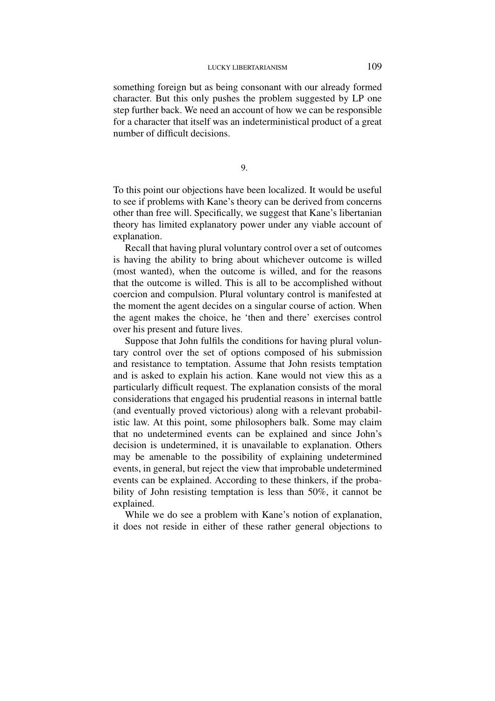something foreign but as being consonant with our already formed character. But this only pushes the problem suggested by LP one step further back. We need an account of how we can be responsible for a character that itself was an indeterministical product of a great number of difficult decisions.

To this point our objections have been localized. It would be useful to see if problems with Kane's theory can be derived from concerns other than free will. Specifically, we suggest that Kane's libertanian theory has limited explanatory power under any viable account of explanation.

Recall that having plural voluntary control over a set of outcomes is having the ability to bring about whichever outcome is willed (most wanted), when the outcome is willed, and for the reasons that the outcome is willed. This is all to be accomplished without coercion and compulsion. Plural voluntary control is manifested at the moment the agent decides on a singular course of action. When the agent makes the choice, he 'then and there' exercises control over his present and future lives.

Suppose that John fulfils the conditions for having plural voluntary control over the set of options composed of his submission and resistance to temptation. Assume that John resists temptation and is asked to explain his action. Kane would not view this as a particularly difficult request. The explanation consists of the moral considerations that engaged his prudential reasons in internal battle (and eventually proved victorious) along with a relevant probabilistic law. At this point, some philosophers balk. Some may claim that no undetermined events can be explained and since John's decision is undetermined, it is unavailable to explanation. Others may be amenable to the possibility of explaining undetermined events, in general, but reject the view that improbable undetermined events can be explained. According to these thinkers, if the probability of John resisting temptation is less than 50%, it cannot be explained.

While we do see a problem with Kane's notion of explanation, it does not reside in either of these rather general objections to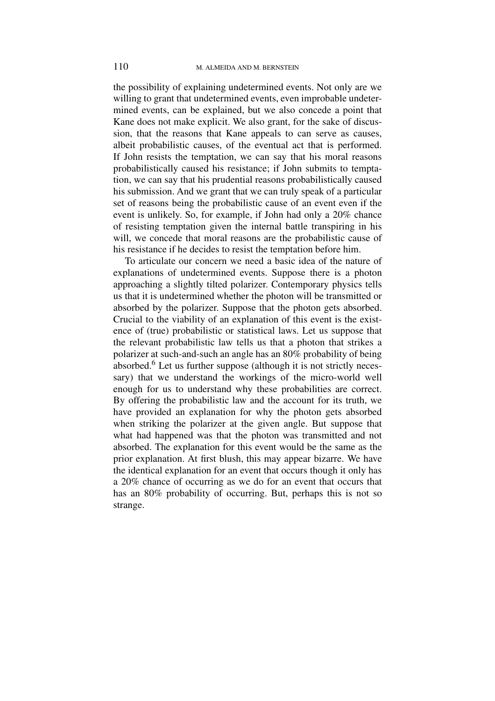the possibility of explaining undetermined events. Not only are we willing to grant that undetermined events, even improbable undetermined events, can be explained, but we also concede a point that Kane does not make explicit. We also grant, for the sake of discussion, that the reasons that Kane appeals to can serve as causes, albeit probabilistic causes, of the eventual act that is performed. If John resists the temptation, we can say that his moral reasons probabilistically caused his resistance; if John submits to temptation, we can say that his prudential reasons probabilistically caused his submission. And we grant that we can truly speak of a particular set of reasons being the probabilistic cause of an event even if the event is unlikely. So, for example, if John had only a 20% chance of resisting temptation given the internal battle transpiring in his will, we concede that moral reasons are the probabilistic cause of his resistance if he decides to resist the temptation before him.

To articulate our concern we need a basic idea of the nature of explanations of undetermined events. Suppose there is a photon approaching a slightly tilted polarizer. Contemporary physics tells us that it is undetermined whether the photon will be transmitted or absorbed by the polarizer. Suppose that the photon gets absorbed. Crucial to the viability of an explanation of this event is the existence of (true) probabilistic or statistical laws. Let us suppose that the relevant probabilistic law tells us that a photon that strikes a polarizer at such-and-such an angle has an 80% probability of being absorbed.<sup>6</sup> Let us further suppose (although it is not strictly necessary) that we understand the workings of the micro-world well enough for us to understand why these probabilities are correct. By offering the probabilistic law and the account for its truth, we have provided an explanation for why the photon gets absorbed when striking the polarizer at the given angle. But suppose that what had happened was that the photon was transmitted and not absorbed. The explanation for this event would be the same as the prior explanation. At first blush, this may appear bizarre. We have the identical explanation for an event that occurs though it only has a 20% chance of occurring as we do for an event that occurs that has an 80% probability of occurring. But, perhaps this is not so strange.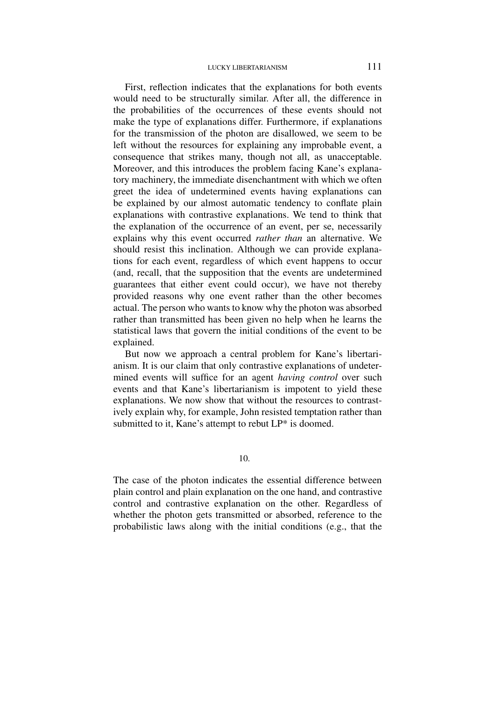First, reflection indicates that the explanations for both events would need to be structurally similar. After all, the difference in the probabilities of the occurrences of these events should not make the type of explanations differ. Furthermore, if explanations for the transmission of the photon are disallowed, we seem to be left without the resources for explaining any improbable event, a consequence that strikes many, though not all, as unacceptable. Moreover, and this introduces the problem facing Kane's explanatory machinery, the immediate disenchantment with which we often greet the idea of undetermined events having explanations can be explained by our almost automatic tendency to conflate plain explanations with contrastive explanations. We tend to think that the explanation of the occurrence of an event, per se, necessarily explains why this event occurred *rather than* an alternative. We should resist this inclination. Although we can provide explanations for each event, regardless of which event happens to occur (and, recall, that the supposition that the events are undetermined guarantees that either event could occur), we have not thereby provided reasons why one event rather than the other becomes actual. The person who wants to know why the photon was absorbed rather than transmitted has been given no help when he learns the statistical laws that govern the initial conditions of the event to be explained.

But now we approach a central problem for Kane's libertarianism. It is our claim that only contrastive explanations of undetermined events will suffice for an agent *having control* over such events and that Kane's libertarianism is impotent to yield these explanations. We now show that without the resources to contrastively explain why, for example, John resisted temptation rather than submitted to it, Kane's attempt to rebut  $LP^*$  is doomed.

10.

The case of the photon indicates the essential difference between plain control and plain explanation on the one hand, and contrastive control and contrastive explanation on the other. Regardless of whether the photon gets transmitted or absorbed, reference to the probabilistic laws along with the initial conditions (e.g., that the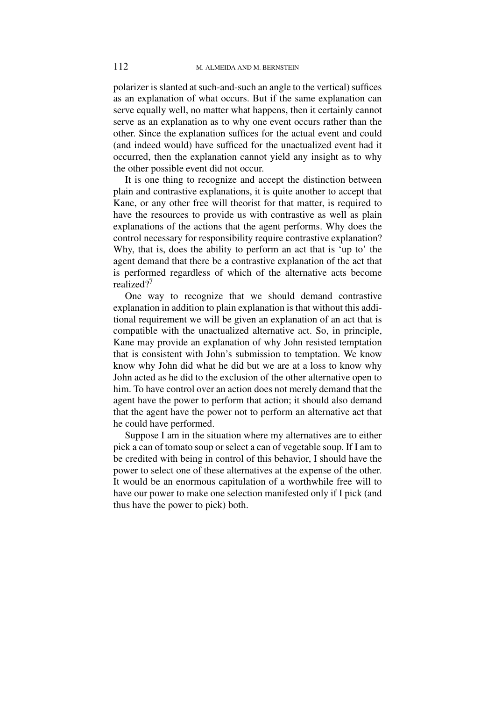polarizer is slanted at such-and-such an angle to the vertical) suffices as an explanation of what occurs. But if the same explanation can serve equally well, no matter what happens, then it certainly cannot serve as an explanation as to why one event occurs rather than the other. Since the explanation suffices for the actual event and could (and indeed would) have sufficed for the unactualized event had it occurred, then the explanation cannot yield any insight as to why the other possible event did not occur.

It is one thing to recognize and accept the distinction between plain and contrastive explanations, it is quite another to accept that Kane, or any other free will theorist for that matter, is required to have the resources to provide us with contrastive as well as plain explanations of the actions that the agent performs. Why does the control necessary for responsibility require contrastive explanation? Why, that is, does the ability to perform an act that is 'up to' the agent demand that there be a contrastive explanation of the act that is performed regardless of which of the alternative acts become realized?<sup>7</sup>

One way to recognize that we should demand contrastive explanation in addition to plain explanation is that without this additional requirement we will be given an explanation of an act that is compatible with the unactualized alternative act. So, in principle, Kane may provide an explanation of why John resisted temptation that is consistent with John's submission to temptation. We know know why John did what he did but we are at a loss to know why John acted as he did to the exclusion of the other alternative open to him. To have control over an action does not merely demand that the agent have the power to perform that action; it should also demand that the agent have the power not to perform an alternative act that he could have performed.

Suppose I am in the situation where my alternatives are to either pick a can of tomato soup or select a can of vegetable soup. If I am to be credited with being in control of this behavior, I should have the power to select one of these alternatives at the expense of the other. It would be an enormous capitulation of a worthwhile free will to have our power to make one selection manifested only if I pick (and thus have the power to pick) both.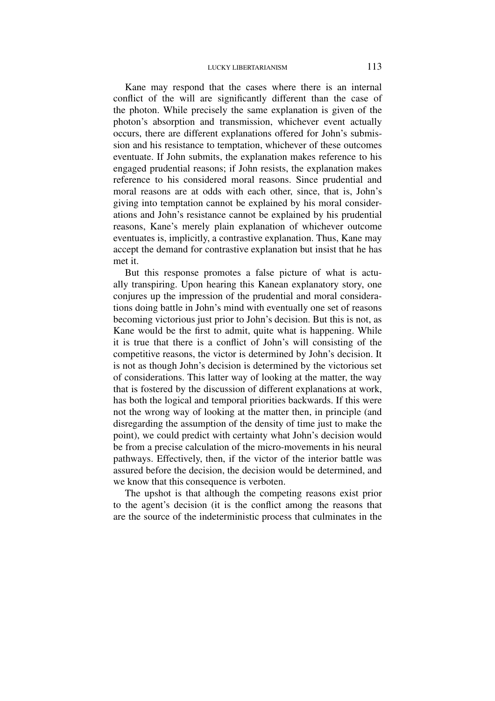Kane may respond that the cases where there is an internal conflict of the will are significantly different than the case of the photon. While precisely the same explanation is given of the photon's absorption and transmission, whichever event actually occurs, there are different explanations offered for John's submission and his resistance to temptation, whichever of these outcomes eventuate. If John submits, the explanation makes reference to his engaged prudential reasons; if John resists, the explanation makes reference to his considered moral reasons. Since prudential and moral reasons are at odds with each other, since, that is, John's giving into temptation cannot be explained by his moral considerations and John's resistance cannot be explained by his prudential reasons, Kane's merely plain explanation of whichever outcome eventuates is, implicitly, a contrastive explanation. Thus, Kane may accept the demand for contrastive explanation but insist that he has met it.

But this response promotes a false picture of what is actually transpiring. Upon hearing this Kanean explanatory story, one conjures up the impression of the prudential and moral considerations doing battle in John's mind with eventually one set of reasons becoming victorious just prior to John's decision. But this is not, as Kane would be the first to admit, quite what is happening. While it is true that there is a conflict of John's will consisting of the competitive reasons, the victor is determined by John's decision. It is not as though John's decision is determined by the victorious set of considerations. This latter way of looking at the matter, the way that is fostered by the discussion of different explanations at work, has both the logical and temporal priorities backwards. If this were not the wrong way of looking at the matter then, in principle (and disregarding the assumption of the density of time just to make the point), we could predict with certainty what John's decision would be from a precise calculation of the micro-movements in his neural pathways. Effectively, then, if the victor of the interior battle was assured before the decision, the decision would be determined, and we know that this consequence is verboten.

The upshot is that although the competing reasons exist prior to the agent's decision (it is the conflict among the reasons that are the source of the indeterministic process that culminates in the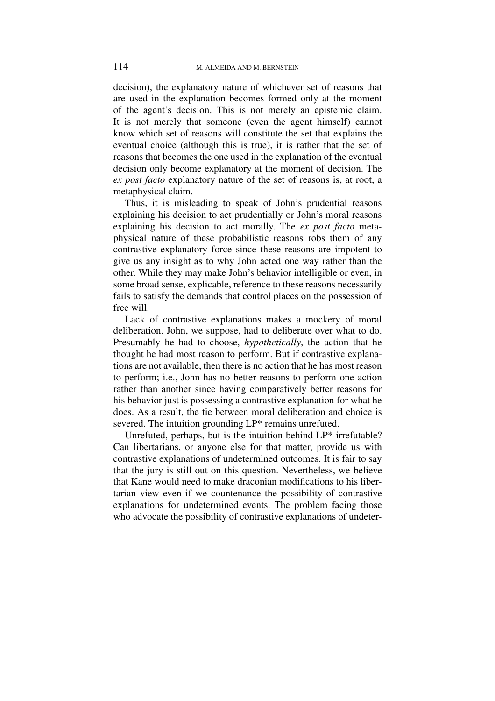decision), the explanatory nature of whichever set of reasons that are used in the explanation becomes formed only at the moment of the agent's decision. This is not merely an epistemic claim. It is not merely that someone (even the agent himself) cannot know which set of reasons will constitute the set that explains the eventual choice (although this is true), it is rather that the set of reasons that becomes the one used in the explanation of the eventual decision only become explanatory at the moment of decision. The *ex post facto* explanatory nature of the set of reasons is, at root, a metaphysical claim.

Thus, it is misleading to speak of John's prudential reasons explaining his decision to act prudentially or John's moral reasons explaining his decision to act morally. The *ex post facto* metaphysical nature of these probabilistic reasons robs them of any contrastive explanatory force since these reasons are impotent to give us any insight as to why John acted one way rather than the other. While they may make John's behavior intelligible or even, in some broad sense, explicable, reference to these reasons necessarily fails to satisfy the demands that control places on the possession of free will.

Lack of contrastive explanations makes a mockery of moral deliberation. John, we suppose, had to deliberate over what to do. Presumably he had to choose, *hypothetically*, the action that he thought he had most reason to perform. But if contrastive explanations are not available, then there is no action that he has most reason to perform; i.e., John has no better reasons to perform one action rather than another since having comparatively better reasons for his behavior just is possessing a contrastive explanation for what he does. As a result, the tie between moral deliberation and choice is severed. The intuition grounding LP\* remains unrefuted.

Unrefuted, perhaps, but is the intuition behind LP\* irrefutable? Can libertarians, or anyone else for that matter, provide us with contrastive explanations of undetermined outcomes. It is fair to say that the jury is still out on this question. Nevertheless, we believe that Kane would need to make draconian modifications to his libertarian view even if we countenance the possibility of contrastive explanations for undetermined events. The problem facing those who advocate the possibility of contrastive explanations of undeter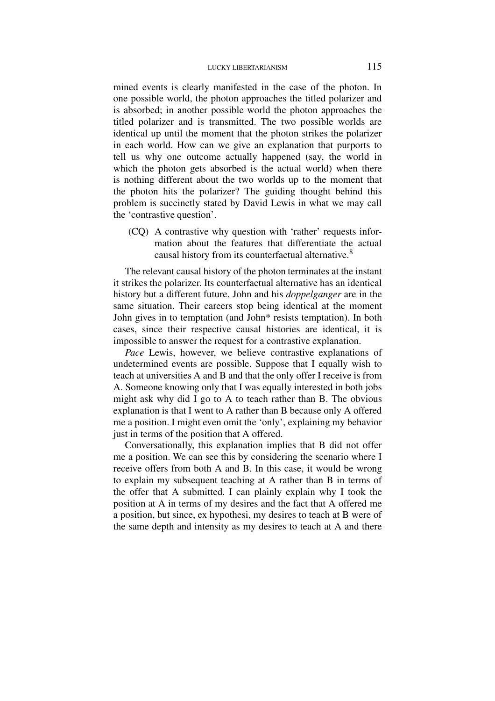mined events is clearly manifested in the case of the photon. In one possible world, the photon approaches the titled polarizer and is absorbed; in another possible world the photon approaches the titled polarizer and is transmitted. The two possible worlds are identical up until the moment that the photon strikes the polarizer in each world. How can we give an explanation that purports to tell us why one outcome actually happened (say, the world in which the photon gets absorbed is the actual world) when there is nothing different about the two worlds up to the moment that the photon hits the polarizer? The guiding thought behind this problem is succinctly stated by David Lewis in what we may call the 'contrastive question'.

(CQ) A contrastive why question with 'rather' requests information about the features that differentiate the actual causal history from its counterfactual alternative.<sup>8</sup>

The relevant causal history of the photon terminates at the instant it strikes the polarizer. Its counterfactual alternative has an identical history but a different future. John and his *doppelganger* are in the same situation. Their careers stop being identical at the moment John gives in to temptation (and John\* resists temptation). In both cases, since their respective causal histories are identical, it is impossible to answer the request for a contrastive explanation.

*Pace* Lewis, however, we believe contrastive explanations of undetermined events are possible. Suppose that I equally wish to teach at universities A and B and that the only offer I receive is from A. Someone knowing only that I was equally interested in both jobs might ask why did I go to A to teach rather than B. The obvious explanation is that I went to A rather than B because only A offered me a position. I might even omit the 'only', explaining my behavior just in terms of the position that A offered.

Conversationally, this explanation implies that B did not offer me a position. We can see this by considering the scenario where I receive offers from both A and B. In this case, it would be wrong to explain my subsequent teaching at A rather than B in terms of the offer that A submitted. I can plainly explain why I took the position at A in terms of my desires and the fact that A offered me a position, but since, ex hypothesi, my desires to teach at B were of the same depth and intensity as my desires to teach at A and there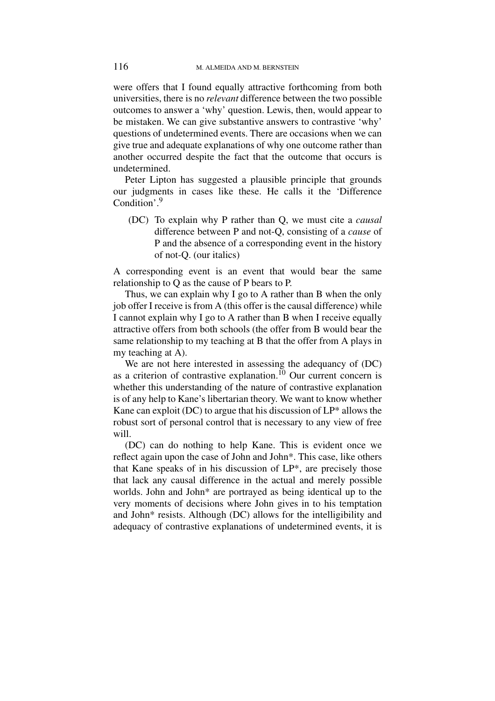were offers that I found equally attractive forthcoming from both universities, there is no *relevant* difference between the two possible outcomes to answer a 'why' question. Lewis, then, would appear to be mistaken. We can give substantive answers to contrastive 'why' questions of undetermined events. There are occasions when we can give true and adequate explanations of why one outcome rather than another occurred despite the fact that the outcome that occurs is undetermined.

Peter Lipton has suggested a plausible principle that grounds our judgments in cases like these. He calls it the 'Difference Condition'.<sup>9</sup>

(DC) To explain why P rather than Q, we must cite a *causal* difference between P and not-Q, consisting of a *cause* of P and the absence of a corresponding event in the history of not-Q. (our italics)

A corresponding event is an event that would bear the same relationship to Q as the cause of P bears to P.

Thus, we can explain why I go to A rather than B when the only job offer I receive is from A (this offer is the causal difference) while I cannot explain why I go to A rather than B when I receive equally attractive offers from both schools (the offer from B would bear the same relationship to my teaching at B that the offer from A plays in my teaching at A).

We are not here interested in assessing the adequancy of (DC) as a criterion of contrastive explanation.<sup>10</sup> Our current concern is whether this understanding of the nature of contrastive explanation is of any help to Kane's libertarian theory. We want to know whether Kane can exploit (DC) to argue that his discussion of LP\* allows the robust sort of personal control that is necessary to any view of free will.

(DC) can do nothing to help Kane. This is evident once we reflect again upon the case of John and John\*. This case, like others that Kane speaks of in his discussion of LP\*, are precisely those that lack any causal difference in the actual and merely possible worlds. John and John\* are portrayed as being identical up to the very moments of decisions where John gives in to his temptation and John\* resists. Although (DC) allows for the intelligibility and adequacy of contrastive explanations of undetermined events, it is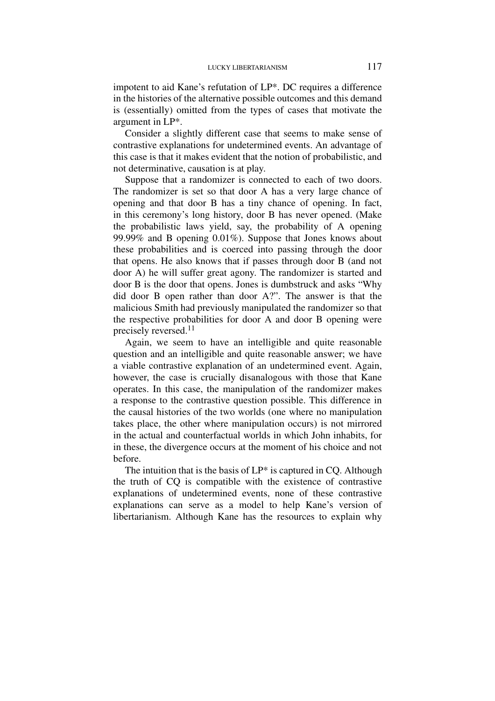impotent to aid Kane's refutation of LP\*. DC requires a difference in the histories of the alternative possible outcomes and this demand is (essentially) omitted from the types of cases that motivate the argument in LP\*.

Consider a slightly different case that seems to make sense of contrastive explanations for undetermined events. An advantage of this case is that it makes evident that the notion of probabilistic, and not determinative, causation is at play.

Suppose that a randomizer is connected to each of two doors. The randomizer is set so that door A has a very large chance of opening and that door B has a tiny chance of opening. In fact, in this ceremony's long history, door B has never opened. (Make the probabilistic laws yield, say, the probability of A opening 99.99% and B opening 0.01%). Suppose that Jones knows about these probabilities and is coerced into passing through the door that opens. He also knows that if passes through door B (and not door A) he will suffer great agony. The randomizer is started and door B is the door that opens. Jones is dumbstruck and asks "Why did door B open rather than door A?". The answer is that the malicious Smith had previously manipulated the randomizer so that the respective probabilities for door A and door B opening were precisely reversed.<sup>11</sup>

Again, we seem to have an intelligible and quite reasonable question and an intelligible and quite reasonable answer; we have a viable contrastive explanation of an undetermined event. Again, however, the case is crucially disanalogous with those that Kane operates. In this case, the manipulation of the randomizer makes a response to the contrastive question possible. This difference in the causal histories of the two worlds (one where no manipulation takes place, the other where manipulation occurs) is not mirrored in the actual and counterfactual worlds in which John inhabits, for in these, the divergence occurs at the moment of his choice and not before.

The intuition that is the basis of LP\* is captured in CQ. Although the truth of CQ is compatible with the existence of contrastive explanations of undetermined events, none of these contrastive explanations can serve as a model to help Kane's version of libertarianism. Although Kane has the resources to explain why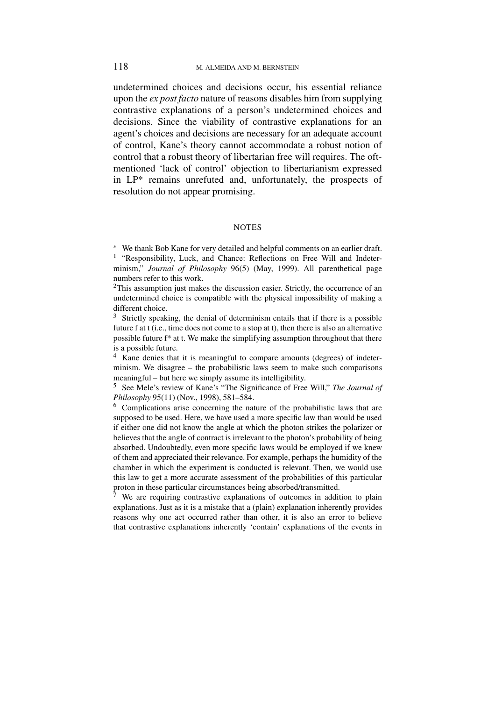undetermined choices and decisions occur, his essential reliance upon the *ex post facto* nature of reasons disables him from supplying contrastive explanations of a person's undetermined choices and decisions. Since the viability of contrastive explanations for an agent's choices and decisions are necessary for an adequate account of control, Kane's theory cannot accommodate a robust notion of control that a robust theory of libertarian free will requires. The oftmentioned 'lack of control' objection to libertarianism expressed in LP\* remains unrefuted and, unfortunately, the prospects of resolution do not appear promising.

#### **NOTES**

∗ We thank Bob Kane for very detailed and helpful comments on an earlier draft.

<sup>1</sup> "Responsibility, Luck, and Chance: Reflections on Free Will and Indeterminism," *Journal of Philosophy* 96(5) (May, 1999). All parenthetical page numbers refer to this work.

 $2$ This assumption just makes the discussion easier. Strictly, the occurrence of an undetermined choice is compatible with the physical impossibility of making a different choice.

 $3$  Strictly speaking, the denial of determinism entails that if there is a possible future f at t (i.e., time does not come to a stop at t), then there is also an alternative possible future f\* at t. We make the simplifying assumption throughout that there is a possible future.

<sup>4</sup> Kane denies that it is meaningful to compare amounts (degrees) of indeterminism. We disagree – the probabilistic laws seem to make such comparisons meaningful – but here we simply assume its intelligibility.

<sup>5</sup> See Mele's review of Kane's "The Significance of Free Will," *The Journal of Philosophy* 95(11) (Nov., 1998), 581–584.

<sup>6</sup> Complications arise concerning the nature of the probabilistic laws that are supposed to be used. Here, we have used a more specific law than would be used if either one did not know the angle at which the photon strikes the polarizer or believes that the angle of contract is irrelevant to the photon's probability of being absorbed. Undoubtedly, even more specific laws would be employed if we knew of them and appreciated their relevance. For example, perhaps the humidity of the chamber in which the experiment is conducted is relevant. Then, we would use this law to get a more accurate assessment of the probabilities of this particular proton in these particular circumstances being absorbed/transmitted.

We are requiring contrastive explanations of outcomes in addition to plain explanations. Just as it is a mistake that a (plain) explanation inherently provides reasons why one act occurred rather than other, it is also an error to believe that contrastive explanations inherently 'contain' explanations of the events in